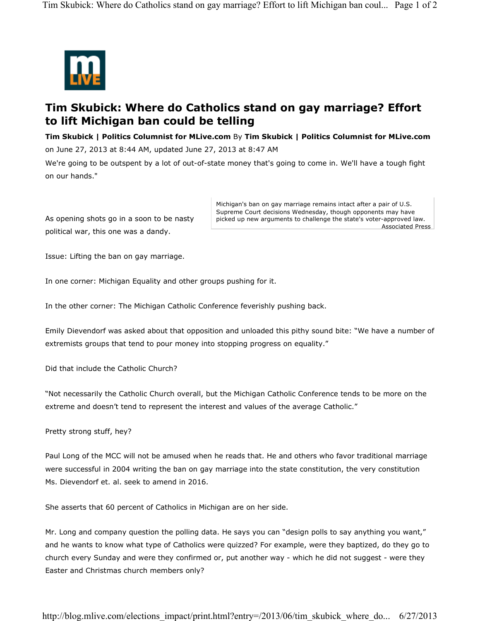

## **Tim Skubick: Where do Catholics stand on gay marriage? Effort to lift Michigan ban could be telling**

**Tim Skubick | Politics Columnist for MLive.com** By **Tim Skubick | Politics Columnist for MLive.com**

on June 27, 2013 at 8:44 AM, updated June 27, 2013 at 8:47 AM

We're going to be outspent by a lot of out-of-state money that's going to come in. We'll have a tough fight on our hands."

As opening shots go in a soon to be nasty political war, this one was a dandy.

Associated Press Michigan's ban on gay marriage remains intact after a pair of U.S. Supreme Court decisions Wednesday, though opponents may have picked up new arguments to challenge the state's voter-approved law.

Issue: Lifting the ban on gay marriage.

In one corner: Michigan Equality and other groups pushing for it.

In the other corner: The Michigan Catholic Conference feverishly pushing back.

Emily Dievendorf was asked about that opposition and unloaded this pithy sound bite: "We have a number of extremists groups that tend to pour money into stopping progress on equality."

Did that include the Catholic Church?

"Not necessarily the Catholic Church overall, but the Michigan Catholic Conference tends to be more on the extreme and doesn't tend to represent the interest and values of the average Catholic."

Pretty strong stuff, hey?

Paul Long of the MCC will not be amused when he reads that. He and others who favor traditional marriage were successful in 2004 writing the ban on gay marriage into the state constitution, the very constitution Ms. Dievendorf et. al. seek to amend in 2016.

She asserts that 60 percent of Catholics in Michigan are on her side.

Mr. Long and company question the polling data. He says you can "design polls to say anything you want," and he wants to know what type of Catholics were quizzed? For example, were they baptized, do they go to church every Sunday and were they confirmed or, put another way - which he did not suggest - were they Easter and Christmas church members only?

http://blog.mlive.com/elections\_impact/print.html?entry=/2013/06/tim\_skubick\_where\_do... 6/27/2013